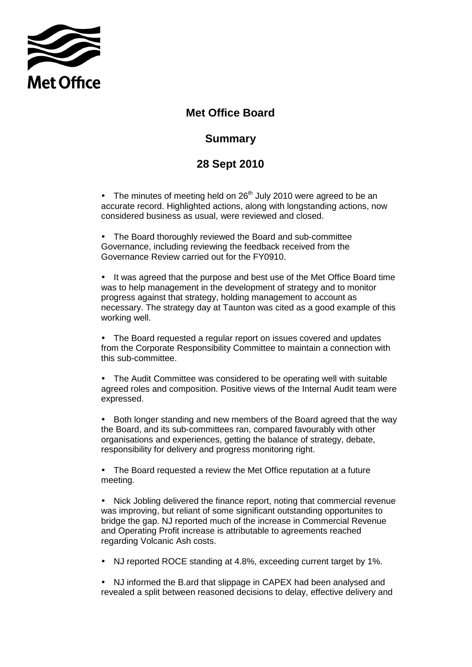

## **Met Office Board**

## **Summary**

## **28 Sept 2010**

• The minutes of meeting held on  $26<sup>th</sup>$  July 2010 were agreed to be an accurate record. Highlighted actions, along with longstanding actions, now considered business as usual, were reviewed and closed.

• The Board thoroughly reviewed the Board and sub-committee Governance, including reviewing the feedback received from the Governance Review carried out for the FY0910.

• It was agreed that the purpose and best use of the Met Office Board time was to help management in the development of strategy and to monitor progress against that strategy, holding management to account as necessary. The strategy day at Taunton was cited as a good example of this working well.

• The Board requested a regular report on issues covered and updates from the Corporate Responsibility Committee to maintain a connection with this sub-committee.

• The Audit Committee was considered to be operating well with suitable agreed roles and composition. Positive views of the Internal Audit team were expressed.

• Both longer standing and new members of the Board agreed that the way the Board, and its sub-committees ran, compared favourably with other organisations and experiences, getting the balance of strategy, debate, responsibility for delivery and progress monitoring right.

• The Board requested a review the Met Office reputation at a future meeting.

• Nick Jobling delivered the finance report, noting that commercial revenue was improving, but reliant of some significant outstanding opportunites to bridge the gap. NJ reported much of the increase in Commercial Revenue and Operating Profit increase is attributable to agreements reached regarding Volcanic Ash costs.

- NJ reported ROCE standing at 4.8%, exceeding current target by 1%.
- NJ informed the B.ard that slippage in CAPEX had been analysed and revealed a split between reasoned decisions to delay, effective delivery and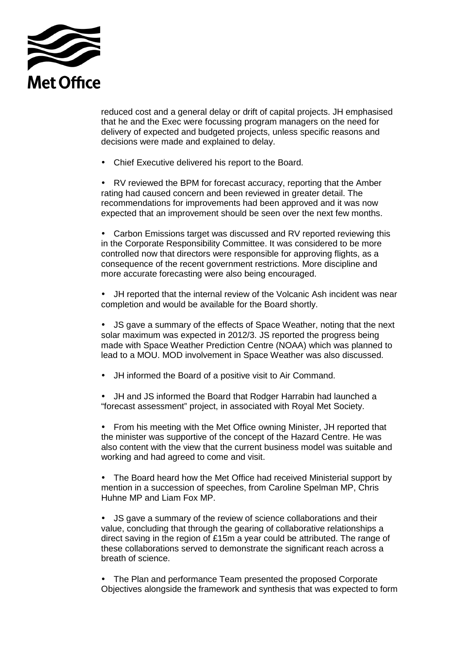

reduced cost and a general delay or drift of capital projects. JH emphasised that he and the Exec were focussing program managers on the need for delivery of expected and budgeted projects, unless specific reasons and decisions were made and explained to delay.

• Chief Executive delivered his report to the Board.

• RV reviewed the BPM for forecast accuracy, reporting that the Amber rating had caused concern and been reviewed in greater detail. The recommendations for improvements had been approved and it was now expected that an improvement should be seen over the next few months.

• Carbon Emissions target was discussed and RV reported reviewing this in the Corporate Responsibility Committee. It was considered to be more controlled now that directors were responsible for approving flights, as a consequence of the recent government restrictions. More discipline and more accurate forecasting were also being encouraged.

• JH reported that the internal review of the Volcanic Ash incident was near completion and would be available for the Board shortly.

• JS gave a summary of the effects of Space Weather, noting that the next solar maximum was expected in 2012/3. JS reported the progress being made with Space Weather Prediction Centre (NOAA) which was planned to lead to a MOU. MOD involvement in Space Weather was also discussed.

- JH informed the Board of a positive visit to Air Command.
- JH and JS informed the Board that Rodger Harrabin had launched a "forecast assessment" project, in associated with Royal Met Society.

• From his meeting with the Met Office owning Minister, JH reported that the minister was supportive of the concept of the Hazard Centre. He was also content with the view that the current business model was suitable and working and had agreed to come and visit.

• The Board heard how the Met Office had received Ministerial support by mention in a succession of speeches, from Caroline Spelman MP, Chris Huhne MP and Liam Fox MP.

• JS gave a summary of the review of science collaborations and their value, concluding that through the gearing of collaborative relationships a direct saving in the region of £15m a year could be attributed. The range of these collaborations served to demonstrate the significant reach across a breath of science.

• The Plan and performance Team presented the proposed Corporate Objectives alongside the framework and synthesis that was expected to form